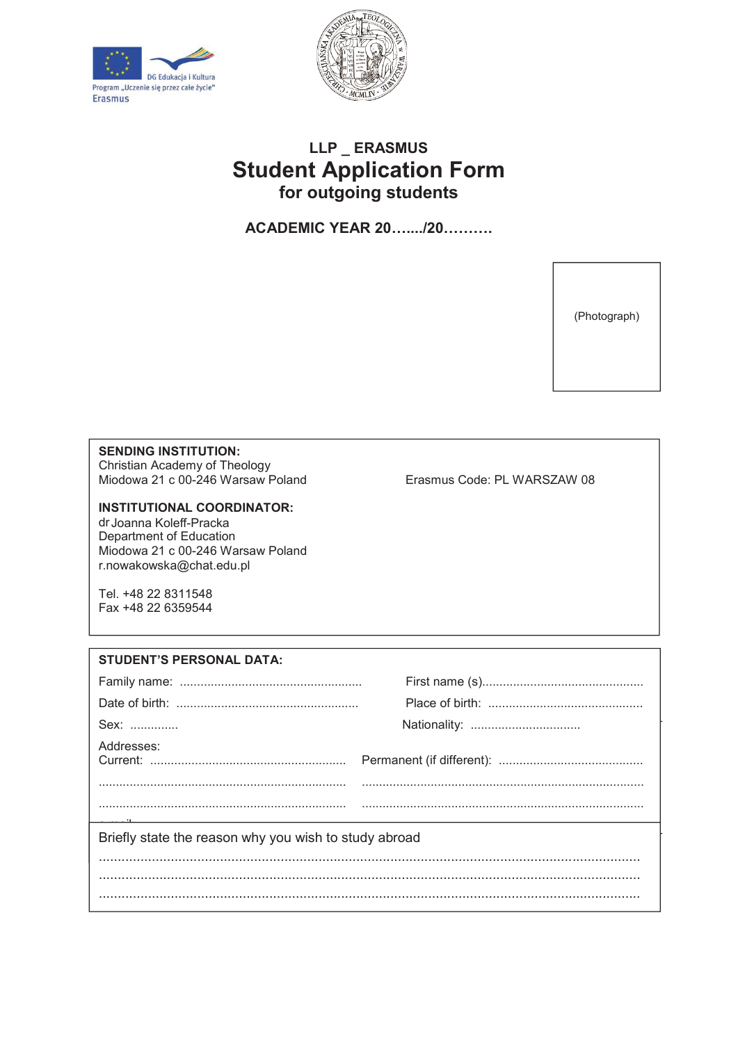



## **LLP \_ ERASMUS Student Application Form for outgoing students**

**ACADEMIC YEAR 20…..../20……….**

(Photograph)

## **SENDING INSTITUTION:**

Christian Academy of Theology Miodowa 21 c 00-246 Warsaw Poland Erasmus Code: PL WARSZAW 08

## **INSTITUTIONAL COORDINATOR:**

dr Joanna Koleff-Pracka Department of Education Miodowa 21 c 00-246 Warsaw Poland r.nowakowska@chat.edu.pl

Tel. +48 22 8311548 Fax +48 22 6359544

**INGTITUTION WILL RECEIVE THE CONTRACT WILL RECEIVE THE CONTRACT OF THE CONTRACT OF THE CONTRACT OF THE CONTRACT OF THE CONTRACT OF THE CONTRACT OF THE CONTRACT OF THE CONTRACT OF THE CONTRACT OF THE CONTRACT OF THE CONTRA STUDENT'S PERSONAL DATA:** Family name: ..................................................... First name (s)............................................... Date of birth: ..................................................... Place of birth: ............................................. Sex: .............. Nationality: ................................ Addresses: Current: ......................................................... Permanent (if different): .......................................... ........................................................................ .................................................................................. e mail:.............................................................................. Briefly state the reason why you wish to study abroad ............................................................................................................................................... ...............................................................................................................................................